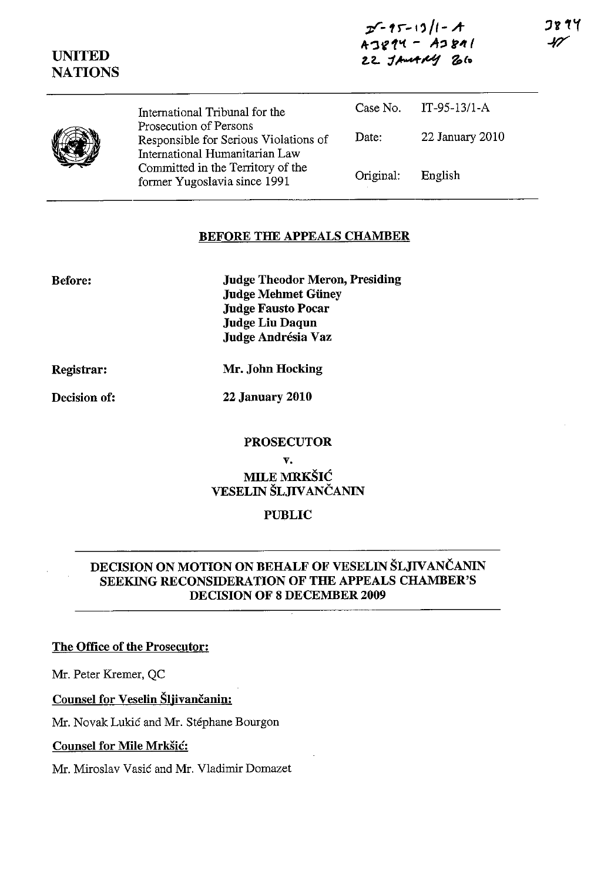| $2 - 15 - 13/1 - 1$ |  |
|---------------------|--|
| $A3814 - A3811$     |  |
| 22 JAMARY 26        |  |

UNITED **NATIONS** 

> International Tribunal for the Prosecution of Persons Responsible for Serious Violations of International Humanitarian Law Committed in the Territory of the former Yugoslavia since 1991 Case No. IT-95-13/l-A Date: 22 January 2010 Original: English

## BEFORE THE APPEALS CHAMBER

Before:

Judge Theodor Meron, Presiding Judge Mehmet Giiney Judge Fausto Pocar Judge Liu Daqun Judge Andrésia Vaz

Registrar:

Decision of:

Mr. John Hocking

22 January 2010

## PROSECUTOR

v. MILE MRKŠIĆ VESELIN ŠLJIVANČANIN

# PUBLIC

# DECISION ON MOTION ON BEHALF OF VESELIN ŠLJIVANČANIN SEEKING RECONSIDERATION OF THE APPEALS CHAMBER'S DECISION OF 8 DECEMBER 2009

### The Office of the Prosecutor:

Mr. Peter Kremer, QC

Counsel for Veselin Šljivančanin:

Mr. Novak Lukić and Mr. Stephane Bourgon

### Counsel for Mile Mrkšić:

Mr. Miroslav Vasić and Mr. Vladimir Domazet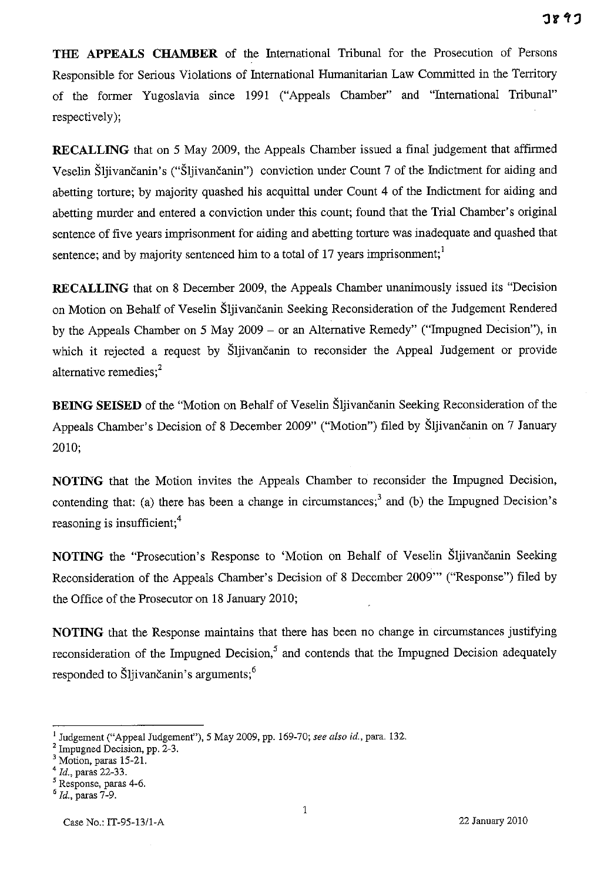**THE APPEALS CHAMBER** of the International Tribunal for the Prosecution of Persons Responsible for Serious Violations of International Humanitarian Law Committed in the Territory of the former Yugoslavia since 1991 ("Appeals Chamber" and "International Tribunal" respectively);

**RECALLING** that on 5 May 2009, the Appeals Chamber issued a final judgement that affirmed Veselin Šljivančanin's ("Šljivančanin") conviction under Count 7 of the Indictment for aiding and abetting torture; by majority quashed his acquittal under Count 4 of the Indictment for aiding and abetting murder and entered a conviction under this count; found that the Trial Chamber's original sentence of five years imprisonment for aiding and abetting torture was inadequate and quashed that sentence; and by majority sentenced him to a total of 17 years imprisonment;<sup>1</sup>

**RECALLING** that on 8 December 2009, the Appeals Chamber unanimously issued its "Decision on Motion on Behalf of Veselin Šljivančanin Seeking Reconsideration of the Judgement Rendered by the Appeals Chamber on 5 May 2009 - or an Alternative Remedy" ("Impugned Decision"), in which it rejected a request by Šljivančanin to reconsider the Appeal Judgement or provide alternative remedies;<sup>2</sup>

**BEING SEISED** of the "Motion on Behalf of Veselin Šljivančanin Seeking Reconsideration of the Appeals Chamber's Decision of 8 December 2009" ("Motion") filed by Šljivančanin on 7 January 2010;

**NOTING** that the Motion invites the Appeals Chamber to reconsider the Impugned Decision, contending that: (a) there has been a change in circumstances;<sup>3</sup> and (b) the Impugned Decision's reasoning is insufficient;<sup>4</sup>

**NOTING** the "Prosecution's Response to 'Motion on Behalf of Veselin Šljivančanin Seeking Reconsideration of the Appeals Chamber's Decision of 8 December 2009'" ("Response") filed by the Office of the Prosecutor on 18 January 2010;

**NOTING** that the Response maintains that there has been no change in circumstances justifying reconsideration of the Impugned Decision,<sup>5</sup> and contends that the Impugned Decision adequately responded to Šljivančanin's arguments;<sup>6</sup>

<sup>l</sup>Judgement ("Appeal Judgement"), 5 May 2009, pp. 169-70; *see also id.,* para. 132.

<sup>2</sup> Impugned Decision, pp. 2-3.

Motion, paras 15-21.

*<sup>4</sup> Id.,* paras 22-33.

Response, paras 4-6.

*<sup>,</sup> Id.,* paras 7-9.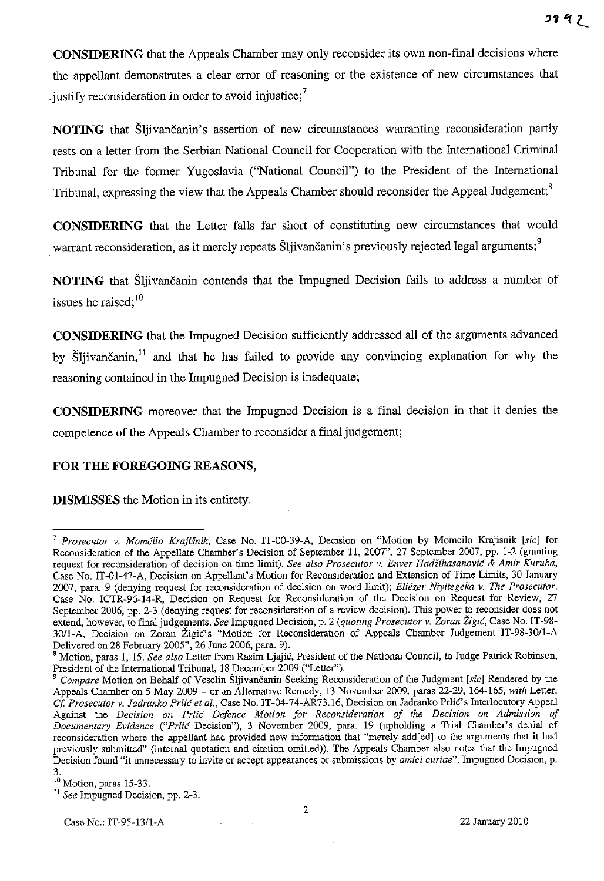**CONSIDERING** that the Appeals Chamber may only reconsider its own non-final decisions where the appellant demonstrates a clear error of reasoning or the existence of new circumstances that iustify reconsideration in order to avoid injustice;<sup>7</sup>

**NOTING** that Šljivančanin's assertion of new circumstances warranting reconsideration partly rests on a letter from the Serbian National Council for Cooperation with the International Criminal Tribunal for the former Yugoslavia ("National Council") to the President of the International Tribunal, expressing the view that the Appeals Chamber should reconsider the Appeal Judgement;<sup>8</sup>

**CONSIDERING** that the Letter falls far short of constituting new circumstances that would warrant reconsideration, as it merely repeats Šljivančanin's previously rejected legal arguments;<sup>9</sup>

**NOTING** that Šljivančanin contends that the Impugned Decision fails to address a number of issues he raised:<sup>10</sup>

**CONSIDERING** that the Impugned Decision sufficiently addressed all of the arguments advanced by Šliivančanin,<sup>11</sup> and that he has failed to provide any convincing explanation for why the reasoning contained in the Impugned Decision is inadequate;

**CONSIDERING** moreover that the Impugned Decision is a final decision in that it denies the competence of the Appeals Chamber to reconsider a final judgement;

# **FOR THE FOREGOING REASONS,**

**DISMISSES** the Motion in its entirety.

<sup>7</sup>*Prosecutor v.* Momčilo *Krajišnik,* Case No. IT-00-39-A, Decision on "Motion by Momcilo Krajisnik *[sic]* for Reconsideration of the Appellate Chamber's Decision of September 11, 2007", 27 September 2007, pp. 1-2 (granting request for reconsideration of decision on time limit). See also Prosecutor v. Enver Hadžihasanović & Amir Kuruba, ·Case No. IT-01-47-A, Decision on Appellant's Motion for Reconsideration and Extension of Time Lintits, 30 January 2007, para. 9 (denying request for reconsideration of decision on word lintit); *Eliezer Niyitegeka v. The Prosecutor,*  Case No. ICTR-96-14-R, Decision on Request for Reconsideration of the Decision on Request for Review, 27 September 2006, pp. 2-3 (denying request for reconsideration of a review decision). This power to reconsider does not extend, however, to final judgements. *See* Impugned Decision, p. 2 *(quotingProsecutor v. Zoran* Žigić, Case No. IT-98- 30/l-A, Decision on Zoran Žigić's "Motion for Reconsideration of Appeals Chamber Judgement IT-98-3011-A Delivered on 28 February 2005", 26 June 2006, para. 9).

<sup>,</sup> Motion, paras 1, 15. *See also* Letter from Rasim Ljajić, President of the National Council, to Judge Patrick Robinson. President of the International Tribunal, 18 December 2009 ("Letter").

*<sup>9</sup> Compare* Motion on Behalf of Veselin Šljivančanin Seeking Reconsideration of the Judgment *[sic]* Rendered by the Appeals Chamber on 5 May 2009 - or an Alternative Remedy, 13 November 2009, paras 22-29, 164-165, *with* Letter. *Cf. Prosecutor v. Jadranko Prlić et al., Case No. IT-04-74-AR73.16, Decision on Jadranko Prlić's Interlocutory Appeal* Against the *Decision on* Prlić *Defence Motion for Reconsideration of the Decision on Admission of Documentary Evidence* ("Prlić Decision"), 3 November 2009, para. 19 (upholding a Trial Chamber's denial of reconsideration where the appellant had provided new information that "merely add[ed] to the arguments that it had previously submitted" (internal quotation and citation omitted)). The Appeals Chamber also notes that the Impugned **Decision found "it unnecessary to invite or accept appearances or submissions by** *amici curiae".* **Impugned Decision, p.**  3.

<sup>&</sup>lt;sup>10</sup> Motion, paras 15-33.

II *See* Impugned Decision, pp. 2-3.